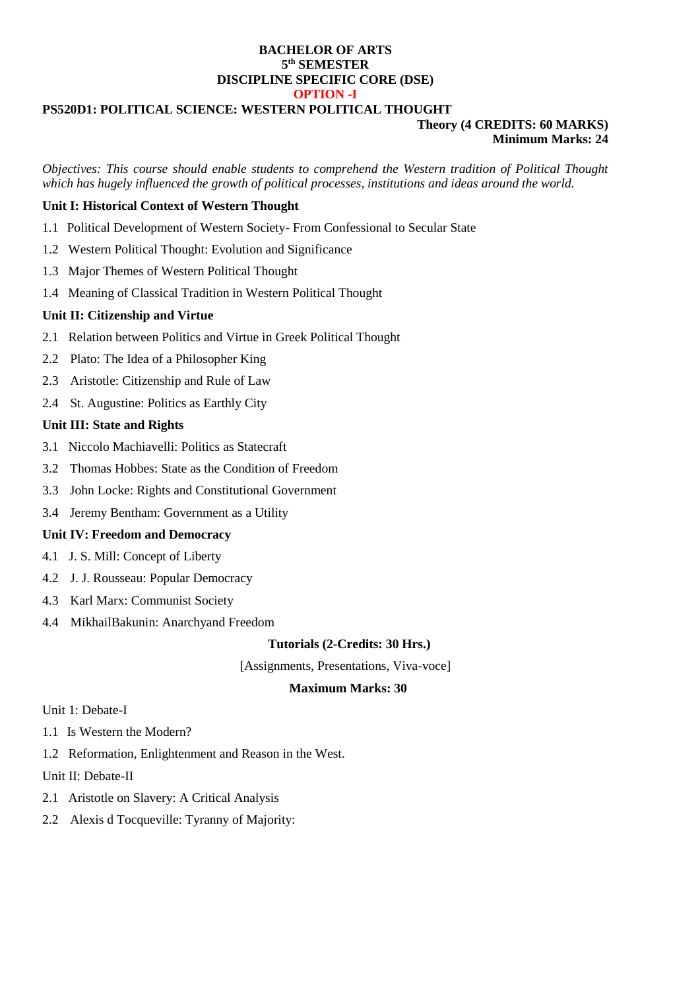### **BACHELOR OF ARTS 5 th SEMESTER DISCIPLINE SPECIFIC CORE (DSE) OPTION -I**

#### **PS520D1: POLITICAL SCIENCE: WESTERN POLITICAL THOUGHT**

#### **Theory (4 CREDITS: 60 MARKS) Minimum Marks: 24**

*Objectives: This course should enable students to comprehend the Western tradition of Political Thought which has hugely influenced the growth of political processes, institutions and ideas around the world.*

### **Unit I: Historical Context of Western Thought**

- 1.1 Political Development of Western Society- From Confessional to Secular State
- 1.2 Western Political Thought: Evolution and Significance
- 1.3 Major Themes of Western Political Thought
- 1.4 Meaning of Classical Tradition in Western Political Thought

### **Unit II: Citizenship and Virtue**

- 2.1 Relation between Politics and Virtue in Greek Political Thought
- 2.2 Plato: The Idea of a Philosopher King
- 2.3 Aristotle: Citizenship and Rule of Law
- 2.4 St. Augustine: Politics as Earthly City

### **Unit III: State and Rights**

- 3.1 Niccolo Machiavelli: Politics as Statecraft
- 3.2 Thomas Hobbes: State as the Condition of Freedom
- 3.3 John Locke: Rights and Constitutional Government
- 3.4 Jeremy Bentham: Government as a Utility

## **Unit IV: Freedom and Democracy**

- 4.1 J. S. Mill: Concept of Liberty
- 4.2 J. J. Rousseau: Popular Democracy
- 4.3 Karl Marx: Communist Society
- 4.4 MikhailBakunin: Anarchyand Freedom

### **Tutorials (2-Credits: 30 Hrs.)**

[Assignments, Presentations, Viva-voce]

### **Maximum Marks: 30**

Unit 1: Debate-I

- 1.1 Is Western the Modern?
- 1.2 Reformation, Enlightenment and Reason in the West.

Unit II: Debate-II

- 2.1 Aristotle on Slavery: A Critical Analysis
- 2.2 Alexis d Tocqueville: Tyranny of Majority: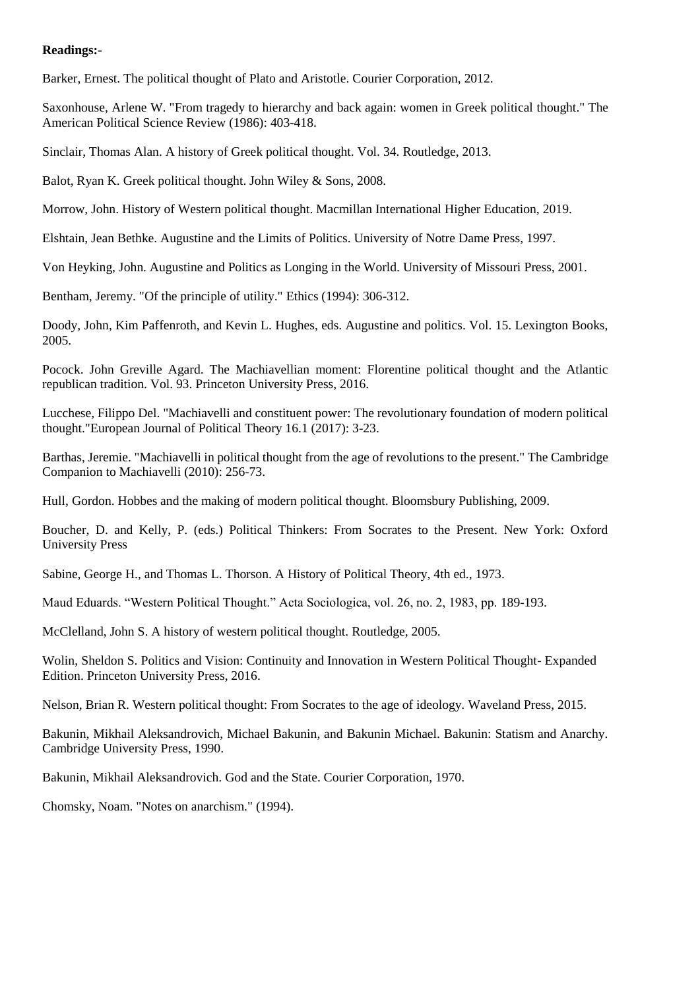### **Readings:-**

Barker, Ernest. The political thought of Plato and Aristotle. Courier Corporation, 2012.

Saxonhouse, Arlene W. "From tragedy to hierarchy and back again: women in Greek political thought." The American Political Science Review (1986): 403-418.

Sinclair, Thomas Alan. A history of Greek political thought. Vol. 34. Routledge, 2013.

Balot, Ryan K. Greek political thought. John Wiley & Sons, 2008.

Morrow, John. History of Western political thought. Macmillan International Higher Education, 2019.

Elshtain, Jean Bethke. Augustine and the Limits of Politics. University of Notre Dame Press, 1997.

Von Heyking, John. Augustine and Politics as Longing in the World. University of Missouri Press, 2001.

Bentham, Jeremy. "Of the principle of utility." Ethics (1994): 306-312.

Doody, John, Kim Paffenroth, and Kevin L. Hughes, eds. Augustine and politics. Vol. 15. Lexington Books, 2005.

Pocock. John Greville Agard. The Machiavellian moment: Florentine political thought and the Atlantic republican tradition. Vol. 93. Princeton University Press, 2016.

Lucchese, Filippo Del. "Machiavelli and constituent power: The revolutionary foundation of modern political thought."European Journal of Political Theory 16.1 (2017): 3-23.

Barthas, Jeremie. "Machiavelli in political thought from the age of revolutions to the present." The Cambridge Companion to Machiavelli (2010): 256-73.

Hull, Gordon. Hobbes and the making of modern political thought. Bloomsbury Publishing, 2009.

Boucher, D. and Kelly, P. (eds.) Political Thinkers: From Socrates to the Present. New York: Oxford University Press

Sabine, George H., and Thomas L. Thorson. A History of Political Theory, 4th ed., 1973.

Maud Eduards. "Western Political Thought." Acta Sociologica, vol. 26, no. 2, 1983, pp. 189-193.

McClelland, John S. A history of western political thought. Routledge, 2005.

Wolin, Sheldon S. Politics and Vision: Continuity and Innovation in Western Political Thought- Expanded Edition. Princeton University Press, 2016.

Nelson, Brian R. Western political thought: From Socrates to the age of ideology. Waveland Press, 2015.

Bakunin, Mikhail Aleksandrovich, Michael Bakunin, and Bakunin Michael. Bakunin: Statism and Anarchy. Cambridge University Press, 1990.

Bakunin, Mikhail Aleksandrovich. God and the State. Courier Corporation, 1970.

Chomsky, Noam. "Notes on anarchism." (1994).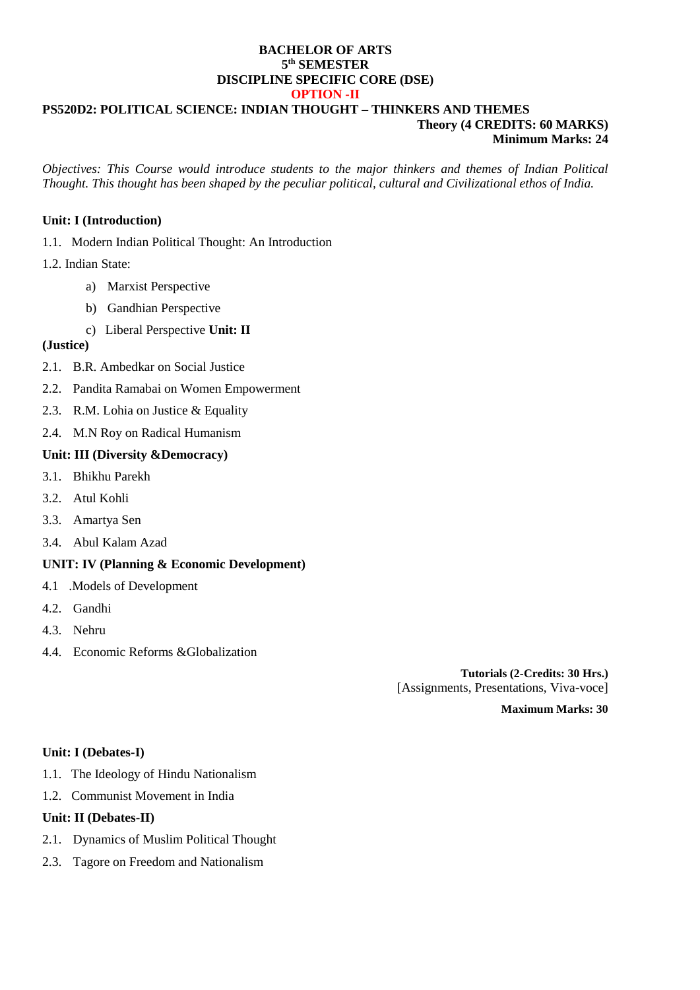### **BACHELOR OF ARTS 5 th SEMESTER DISCIPLINE SPECIFIC CORE (DSE) OPTION -II**

### **PS520D2: POLITICAL SCIENCE: INDIAN THOUGHT – THINKERS AND THEMES Theory (4 CREDITS: 60 MARKS) Minimum Marks: 24**

*Objectives: This Course would introduce students to the major thinkers and themes of Indian Political Thought. This thought has been shaped by the peculiar political, cultural and Civilizational ethos of India.*

# **Unit: I (Introduction)**

1.1. Modern Indian Political Thought: An Introduction

# 1.2. Indian State:

- a) Marxist Perspective
- b) Gandhian Perspective
- c) Liberal Perspective **Unit: II**

# **(Justice)**

- 2.1. B.R. Ambedkar on Social Justice
- 2.2. Pandita Ramabai on Women Empowerment
- 2.3. R.M. Lohia on Justice & Equality
- 2.4. M.N Roy on Radical Humanism

# **Unit: III (Diversity &Democracy)**

- 3.1. Bhikhu Parekh
- 3.2. Atul Kohli
- 3.3. Amartya Sen
- 3.4. Abul Kalam Azad

# **UNIT: IV (Planning & Economic Development)**

- 4.1 .Models of Development
- 4.2. Gandhi
- 4.3. Nehru
- 4.4. Economic Reforms &Globalization

**Tutorials (2-Credits: 30 Hrs.)** [Assignments, Presentations, Viva-voce]

**Maximum Marks: 30**

### **Unit: I (Debates-I)**

- 1.1. The Ideology of Hindu Nationalism
- 1.2. Communist Movement in India

### **Unit: II (Debates-II)**

- 2.1. Dynamics of Muslim Political Thought
- 2.3. Tagore on Freedom and Nationalism